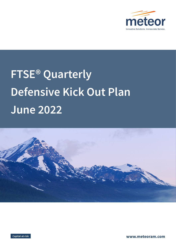

# **FTSE® Quarterly Defensive Kick Out Plan June 2022**





**www.meteoram.com**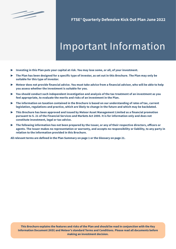

# Important Information

- ▶ **Investing in this Plan puts your capital at risk. You may lose some, or all, of your investment.**
- ▶ **The Plan has been designed for a specific type of investor, as set out in this Brochure. The Plan may only be suitable for this type of investor.**
- ▶ Meteor does not provide financial advice. You must take advice from a financial adviser, who will be able to help **you assess whether the investment is suitable for you.**
- ▶ **You should conduct such independent investigation and analysis of the tax treatment of an investment as you feel appropriate, to evaluate the merits and risks of an investment in the Plan.**
- ▶ **The information on taxation contained in the Brochure is based on our understanding of rates of tax, current legislation, regulations and practice, which are likely to change in the future and which may be backdated.**
- ▶ **This Brochure has been approved and issued by Meteor Asset Management Limited as a financial promotion pursuant to S. 21 of the Financial Services and Markets Act 2000. It is for information only and does not constitute investment, legal or tax advice.**
- ▶ **The following information has not been prepared by the Issuer, or any of their respective directors, officers or agents. The Issuer makes no representation or warranty, and accepts no responsibility or liability, to any party in relation to the information provided in this Brochure.**

**All relevant terms are defined in the Plan Summary on page 1 or the Glossary on page 21.**

**This Brochure explains the features and risks of the Plan and should be read in conjunction with the Key Information Document (KID) and Meteor's standard Terms and Conditions. Please read all documents before making an investment decision.**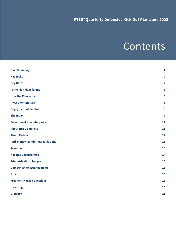## Contents

| <b>Plan Summary</b>                      | $\mathbf{1}$            |
|------------------------------------------|-------------------------|
| <b>Key Risks</b>                         | $\overline{\mathbf{2}}$ |
| <b>Key Dates</b>                         | $\overline{\mathbf{2}}$ |
| Is the Plan right for me?                | $\overline{\mathbf{3}}$ |
| <b>How the Plan works</b>                | 5                       |
| <b>Investment Return</b>                 | $\overline{7}$          |
| <b>Repayment of Capital</b>              | $\bf{8}$                |
| <b>The Index</b>                         | $\boldsymbol{9}$        |
| <b>Selection of a counterparty</b>       | 11                      |
| <b>About HBSC Bank plc</b>               | 11                      |
| <b>About Meteor</b>                      | 12                      |
| <b>Anti-money laundering regulations</b> | 13                      |
| <b>Taxation</b>                          | 13                      |
| <b>Keeping you informed</b>              | 14                      |
| <b>Administration charges</b>            | 15                      |
| <b>Compensation Arrangements</b>         | 15                      |
| <b>Risks</b>                             | 16                      |
| <b>Frequently asked questions</b>        | 18                      |
| <b>Investing</b>                         | 20                      |
| Glossary                                 | 21                      |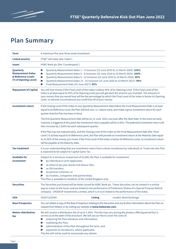

### **Plan Summary**

| Term                                                                                | A maximum five year three week investment                                                                                                                                                                                                                                                                                                                                                                                                   |  |  |  |  |
|-------------------------------------------------------------------------------------|---------------------------------------------------------------------------------------------------------------------------------------------------------------------------------------------------------------------------------------------------------------------------------------------------------------------------------------------------------------------------------------------------------------------------------------------|--|--|--|--|
| Linked asset(s)                                                                     | FTSE® 100 Index (the 'Index')                                                                                                                                                                                                                                                                                                                                                                                                               |  |  |  |  |
| <b>Issuer</b>                                                                       | HSBC Bank plc (the 'Counterparty')                                                                                                                                                                                                                                                                                                                                                                                                          |  |  |  |  |
| Quarterly<br><b>Measurement Dates</b><br>& Reference Levels<br>(% of Opening Level) | Quarterly Measurement Dates 1 - 4 inclusive (12 June 2023 to 11 March 2024): 105%<br>Quarterly Measurement Dates 5 - 8 inclusive (10 June 2024 to 10 March 2025): 100%<br>Quarterly Measurement Dates 9 - 12 inclusive (10 June 2025 to 10 March 2026): 95%<br>Quarterly Measurement Dates 13 - 16 inclusive (10 June 2026 to 10 March 2027): 90%<br>Final Measurement Date (10 June 2027): 85%                                             |  |  |  |  |
| <b>Repayment of Capital</b>                                                         | You will lose money if the Final Level of the Index is below 65% of its Opening Level. If the Final Level of the<br>Index is at least equal to 65% of its Opening Level you will get back the amount you invested. The amount of<br>your money that you would lose will be the percentage by which the Final Level of the Index is below its Opening<br>Level. In extreme circumstances you could lose all of your money.                   |  |  |  |  |
| <b>Investment return</b>                                                            | If the Closing Level of the Index on any Quarterly Measurement Date before the Final Measurement Date is at least<br>equal to its Reference Level, the Plan will kick out, i.e. mature early, and make a gross investment return for each<br>quarter that the Plan has been in force.                                                                                                                                                       |  |  |  |  |
|                                                                                     | The first Quarterly Measurement Date will be on 12 June 2023, one year after the Start Date. In the event an early<br>maturity is triggered at this point the investment return payable will be 6.50%. The potential investment return will<br>then increase by 1.625% for each subsequent quarter.                                                                                                                                         |  |  |  |  |
|                                                                                     | If the Plan has not matured early, and the Closing Level of the Index on the Final Measurement Date (the 'Final<br>Level') is at least equal to its Reference Level, the Plan will provide an investment return at the Maturity Date equal<br>to 32.50% of the money you invest. If the Final Level of the Index is below its Reference Level, no investment return<br>will be payable at the Maturity Date.                                |  |  |  |  |
| <b>Tax treatment</b>                                                                | It is our understanding that any investment return from a direct investment by individuals or Trusts into this Plan<br>is expected to be subject to Capital Gains Tax.                                                                                                                                                                                                                                                                      |  |  |  |  |
| <b>Available for</b><br>investment                                                  | Subject to a minimum investment of £5,000, the Plan is available for investment:<br>by individual or joint applicants;<br>as 2022/23 tax year stocks and shares ISAs;<br>as ISA transfers;<br>by pension schemes; or<br>by trustees, companies and partnerships.<br>This Plan is available to residents of the United Kingdom only.                                                                                                         |  |  |  |  |
| <b>Securities</b>                                                                   | The Securities purchased will be Notes issued by HSBC Bank plc. These Securities can be viewed in a similar<br>way to a loan to the Issuer and are linked to the performance of Preference Shares of a Special Purpose Vehicle<br>company - UKSED3P Investments Limited, which is in turn linked to the performance of the Index.                                                                                                           |  |  |  |  |
| <b>ISIN</b>                                                                         | XS2471235395<br><b>Listing</b><br>London Stock Exchange                                                                                                                                                                                                                                                                                                                                                                                     |  |  |  |  |
| <b>Base Prospectus</b>                                                              | You can obtain a copy of the Base Prospectus relating to the Securities and any further information about the Plan on<br>request from Meteor or by visiting our website at www.meteoram.com.                                                                                                                                                                                                                                                |  |  |  |  |
| <b>Meteor distribution</b><br>fee                                                   | We will receive a distribution fee of up to 1.60%. This fee may vary during the product offering period but is<br>correct as at the date of this brochure. We will use our fee to cover the costs of:<br>preparing the Plan literature and information;<br>marketing the Plan;<br>administration of the Plan throughout the term; and<br>payments to introducers, where applicable.<br>This fee will not be used to remunerate any adviser. |  |  |  |  |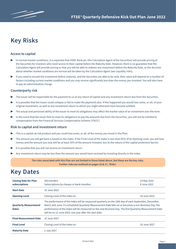### **Key Risks**

#### **Access to capital**

- In normal market conditions, it is expected that HSBC Bank plc (the Calculation Agent of the Securities) will provide pricing of the Securities for investors who need access to their capital before the Maturity Date. However, there is no guarantee that the Calculation Agent will provide pricing or that you will be able to redeem any investment before the Maturity Date, as the decision about whether market conditions are normal will be taken by the Calculation Agent (see Liquidity risks).
- ▶ If you need to encash the investment before maturity, and the Securities are able to be sold, their value will depend on a number of factors including current market conditions and you may receive significantly less than the money you invested. You will also have to pay an administration charge.

#### **Counterparty risk**

- The Issuer will be responsible for the payment to us of any return of capital and any investment return due from the Securities.
- It is possible that the Issuer could collapse or fail to make the payments due. If this happened you would lose some, or all, of your original investment, as well as any investment return to which you might otherwise have become entitled.
- ▶ The actual and perceived ability of the Issuer to meet its obligations may affect the market value of an investment over the term.
- In the event that the Issuer fails to meet its obligations to pay the amounts due from the Securities, you will not be entitled to compensation from the Financial Services Compensation Scheme ('FSCS').

#### **Risk to capital and investment return**

- This is a capital-at-risk product and you could lose some, or all, of the money you invest in the Plan.
- ▶ The amount you will get back is based on the Index. If the Final Level of the Index is less than 65% of its Opening Level, you will lose money and the amount you lose will be at least 35% of the amount invested, due to the nature of the capital protection barrier.
- It is possible that you will not receive an investment return.
- Any investment return may be less than the amount you would have received by investing directly in the Index.

**The risks associated with this Plan are not limited to those listed above, but these are the key risks. Further risks are outlined on pages 16 & 17, 'Risks'.**

### **Key Dates**

| <b>Closing Date for Plan</b><br>subscriptions | <b>ISA transfers</b><br>Subscriptions by cheque or bank transfers                                                                                                                                                                                                                                                                                                                    | 23 May 2022<br>8 June 2022 |  |
|-----------------------------------------------|--------------------------------------------------------------------------------------------------------------------------------------------------------------------------------------------------------------------------------------------------------------------------------------------------------------------------------------------------------------------------------------|----------------------------|--|
| <b>Start Date</b>                             | 10.June 2022                                                                                                                                                                                                                                                                                                                                                                         |                            |  |
| <b>Opening Level</b>                          | Closing Level of the Index on                                                                                                                                                                                                                                                                                                                                                        | 10 June 2022               |  |
| <b>Quarterly Measurement</b><br><b>Dates</b>  | The performance of the Index will be measured quarterly on the 10th day of each September, December,<br>March and June. If a scheduled Quarterly Measurement Date falls on or becomes a non-Business Day, the<br>performance of the Index will be measured on the next Business Day. The first Quarterly Measurement Date<br>will be on 12 June 2023, one year after the start date. |                            |  |
| <b>Final Measurement Date</b>                 | 10 June 2027                                                                                                                                                                                                                                                                                                                                                                         |                            |  |
| <b>Final Level</b>                            | Closing Level of the Index on                                                                                                                                                                                                                                                                                                                                                        | 10 June 2027               |  |
| <b>Maturity Date</b>                          | 1 July 2027                                                                                                                                                                                                                                                                                                                                                                          |                            |  |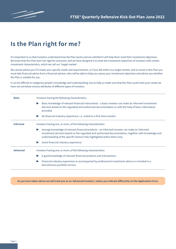

### **Is the Plan right for me?**

It's important to us that investors understand how the Plan works and are satisfied it will help them meet their investment objectives. We know that this Plan won't be right for everyone, and we have designed it to meet the investment objectives of investors with certain investment characteristics, which we call our 'target market'.

We cannot advise you if it meets your specific needs and requirements, or if you fall within our target market, and to invest in this Plan you must take financial advice from a financial adviser, who will be able to help you assess your investment objectives and advise you whether the Plan is suitable for you.

It can be difficult to categorise people's knowledge and understanding, but to help us make sure that this Plan could meet your needs we have set out below various attributes of different types of investors.

| <b>Basic</b>    | Investors having the following characteristics:                                                                                                                                                                                                                                   |  |  |  |  |
|-----------------|-----------------------------------------------------------------------------------------------------------------------------------------------------------------------------------------------------------------------------------------------------------------------------------|--|--|--|--|
|                 | Basic knowledge of relevant financial instruments - a basic investor can make an informed investment<br>decision based on the regulated and authorised documentation or with the help of basic information<br>provided.                                                           |  |  |  |  |
|                 | No financial industry experience, i.e. suited to a first time investor.                                                                                                                                                                                                           |  |  |  |  |
| <b>Informed</b> | Investors having one, or more, of the following characteristics:                                                                                                                                                                                                                  |  |  |  |  |
|                 | Average knowledge of relevant financial products - an informed investor can make an informed<br>investment decision based on the regulated and authorised documentation, together with knowledge and<br>understanding of the specific factors/risks highlighted within them only. |  |  |  |  |
|                 | Some financial industry experience.                                                                                                                                                                                                                                               |  |  |  |  |
| <b>Advanced</b> | Investors having one, or more, of the following characteristics:                                                                                                                                                                                                                  |  |  |  |  |
|                 | A good knowledge of relevant financial products and transactions.                                                                                                                                                                                                                 |  |  |  |  |
|                 | Financial industry experience or accompanied by professional investment advice or included in a<br>discretionary portfolio service.                                                                                                                                               |  |  |  |  |

**As you have taken advice we will treat you as an 'Advanced Investor', unless you indicate differently on the Application Form.**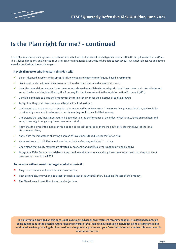

### **Is the Plan right for me? - continued**

To assist your decision making process, we have set out below the characteristics of a typical investor within the target market for this Plan. This is for guidance only and we require you to speak to a financial adviser, who will be able to assess your investment objectives and advise you whether the Plan is suitable for you.

#### **A typical investor who invests in this Plan will:**

- ü Be an Advanced Investor, with appropriate knowledge and experience of equity-based investments;
- Like investments that provide known returns based on pre-determined market outcomes;
- $\checkmark$  Want the potential to secure an investment return above that available from a deposit-based investment and acknowledge and accept the level of risk, identified by the Summary Risk Indicator set out in the Key Information Document (KID);
- Be willing and able to tie up their money for the term of the Plan for the objective of capital growth;
- Accept that they could lose money and be able to afford to do so;
- ü Understand that in the event of a loss that this loss would be at least 35% of the money they put into the Plan, and could be considerably more, and in extreme circumstances they could lose all of their money;
- ü Understand that any investment return is dependent on the performance of the Index, which is calculated on set dates, and accept they might not get any investment return at all;
- ü Know that the level of the Index can fall but do not expect the fall to be more than 35% of its Opening Level at the Final Measurement Date;
- Appreciate the importance of having a spread of investments to reduce concentration risk;
- Know and accept that inflation reduces the real value of money and what it can buy;
- Understand that equity markets are affected by economic and political events nationally and globally;
- $\checkmark$  Accept that if the Counterparty defaults they could lose all their money and any investment return and that they would not have any recourse to the FSCS.

#### **An investor will not meet the target market criteria if:**

- $\textbf{\textit{X}}$  They do not understand how this investment works:
- û They are unable, or unwilling, to accept the risks associated with this Plan, including the loss of their money;
- **\*** The Plan does not meet their investment objectives.

**The information provided on this page is not investment advice or an investment recommendation. It is designed to provide some guidance as to the possible future risks and rewards of this Plan. We have not taken individual client circumstances into consideration when producing this information and require that you consult your financial adviser on whether this investment is appropriate for you.**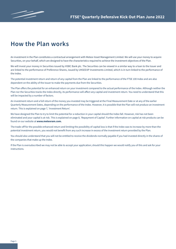### **How the Plan works**

An investment in the Plan constitutes a contractual arrangement with Meteor Asset Management Limited. We will use your money to acquire Securities, on your behalf, which are designed to have the characteristics required to achieve the investment objectives of the Plan.

We will invest your money in Securities issued by HSBC Bank plc. The Securities can be viewed in a similar way to a loan to the Issuer and are linked to the performance of Preference Shares, issued by UKSED3P Investments Limited, which is in turn linked to the performance of the Index.

The potential investment return and return of any capital from the Plan are linked to the performance of the FTSE 100 Index and are also dependent on the ability of the Issuer to make the payments due from the Securities.

The Plan offers the potential for an enhanced return on your investment compared to the actual performance of the Index. Although neither the Plan nor the Securities tracks the Index directly, its performance will affect any capital and investment return. You need to understand that this will be impacted by a number of factors.

An investment return and a full return of the money you invested may be triggered at the Final Measurement Date or at any of the earlier Quarterly Measurement Dates, depending on the performance of the Index. However, it is possible that the Plan will not produce an investment return. This is explained on page 7, 'Investment Return'.

We have designed the Plan to try to limit the potential for a reduction in your capital should the Index fall. However, risk has not been eliminated and your capital is at risk. This is explained on page 8, 'Repayment of Capital'. Further information on capital at risk products can be found on our website at **www.meteoram.com.**

The trade-off for the possible enhanced return and limiting the possibility of capital loss is that if the Index was to increase by more than the potential investment return, you would not benefit from any such increase in excess of the investment return provided by the Plan.

You should also understand that you will not be entitled to receive the dividends normally payable if you had invested directly in the shares of the companies that make up the Index.

If the Plan is oversubscribed we may not be able to accept your application; should this happen we would notify you of this and ask for your instructions.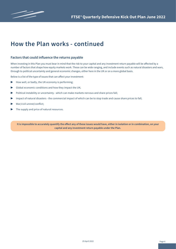

### **How the Plan works - continued**

#### **Factors that could influence the returns payable**

When investing in this Plan you must bear in mind that the risk to your capital and any investment return payable will be affected by a number of factors that shape how equity markets work. These can be wide ranging, and include events such as natural disasters and wars, through to political uncertainty and general economic changes, either here in the UK or on a more global basis.

Below is a list of the type of issues that can affect your investment:

- $\blacktriangleright$  How well, or badly, the UK economy is performing;
- $\triangleright$  Global economic conditions and how they impact the UK;
- ▶ Political instability or uncertainty which can make markets nervous and share prices fall;
- ▶ Impact of natural disasters the commercial impact of which can be to stop trade and cause share prices to fall;
- War/civil unrest/conflict;
- The supply and price of natural resources.

**It is impossible to accurately quantify the effect any of these issues would have, either in isolation or in combination, on your capital and any investment return payable under the Plan.**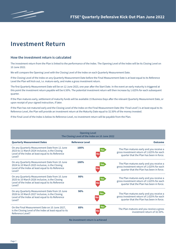### **Investment Return**

#### **How the investment return is calculated**

The investment return from the Plan is linked to the performance of the Index. The Opening Level of the Index will be its Closing Level on 10 June 2022.

We will compare the Opening Level with the Closing Level of the Index on each Quarterly Measurement Date.

If the Closing Level of the Index on any Quarterly Measurement Date before the Final Measurement Date is at least equal to its Reference Level the Plan will kick out, i.e. mature early, and make a gross investment return.

The first Quarterly Measurement Date will be on 12 June 2023, one year after the Start Date. In the event an early maturity is triggered at this point the investment return payable will be 6.50%. The potential investment return will then increase by 1.625% for each subsequent quarter.

If the Plan matures early, settlement of maturity funds will be available 15 Business Days after the relevant Quarterly Measurement Date, or upon receipt of your signed instruction, if later.

If the Plan has not matured early and the Closing Level of the Index on the Final Measurement Date (the 'Final Level') is at least equal to its Reference Level, the Plan will provide an investment return at the Maturity Date equal to 32.50% of the money invested.

If the Final Level of the Index is below its Reference Level, no investment return will be payable from the Plan.

| <b>Opening Level</b><br>The Closing Level of the Index on 10 June 2022                                                                                            |                        |                                                                                                                                                   |  |  |
|-------------------------------------------------------------------------------------------------------------------------------------------------------------------|------------------------|---------------------------------------------------------------------------------------------------------------------------------------------------|--|--|
| <b>Quarterly Measurement Dates</b>                                                                                                                                | <b>Reference Level</b> | <b>Outcome</b>                                                                                                                                    |  |  |
| On any Quarterly Measurement Date from 12 June<br>2023 to 11 March 2024 inclusive, is the Closing<br>Level of the Index at least equal to its Reference<br>Level? | 105%                   | The Plan matures early and you receive a<br>Yes<br>gross investment return of 1.625% for each<br>l No<br>quarter that the Plan has been in force. |  |  |
| On any Quarterly Measurement Date from 10 June<br>2024 to 10 March 2025 inclusive, is the Closing<br>Level of the Index at least equal to its Reference<br>Level? | 100%                   | The Plan matures early and you receive a<br>Yes<br>gross investment return of 1.625% for each<br>l No<br>quarter that the Plan has been in force. |  |  |
| On any Quarterly Measurement Date from 10 June<br>2025 to 10 March 2026 inclusive, is the Closing<br>Level of the Index at least equal to its Reference<br>Level? | 95%                    | The Plan matures early and you receive a<br>Yes<br>gross investment return of 1.625% for each<br>quarter that the Plan has been in force.         |  |  |
| On any Quarterly Measurement Date from 10 June<br>2026 to 10 March 2027 inclusive, is the Closing<br>Level of the Index at least equal to its Reference<br>Level? | 90%                    | The Plan matures early and you receive a<br>res<br>gross investment return of 1.625% for each<br>N۵<br>quarter that the Plan has been in force.   |  |  |
| On the Final Measurement Date on 10 June 2027,<br>is the Closing Level of the Index at least equal to its<br>Reference Level?                                     | 85%                    | Yes<br>The Plan matures and you receive a gross<br>Nο<br>investment return of 32.50%.                                                             |  |  |
| No investment return is achieved                                                                                                                                  |                        |                                                                                                                                                   |  |  |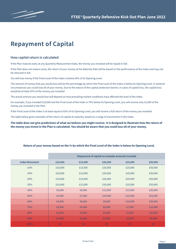### **Repayment of Capital**

#### **How capital return is calculated**

If the Plan matures early at any Quarterly Measurement Date, the money you invested will be repaid in full.

If the Plan does not mature early, the return of your money at the Maturity Date will be based on the performance of the Index and may not be returned in full.

You will lose money if the Final Level of the Index is below 65% of its Opening Level.

The amount of money that you would lose will be the percentage by which the Final Level of the Index is below its Opening Level. In extreme circumstances you could lose all of your money. Due to the nature of the capital protection barrier, in cases of capital loss, the capital loss would be at least 35% of the money you invested.

The actual amount you would lose will depend on how prevailing market conditions have affected the level of the Index.

For example, if you invested £10,000 and the Final Level of the Index is 70% below its Opening Level, you will receive only £3,000 of the money you invested in the Plan.

If the Final Level of the Index is at least equal to 65% of its Opening Level, you will receive a full return of the money you invested.

The table below gives examples of the return of capital at maturity, based on a range of movements in the Index.

**The table does not give predictions of what we believe you might receive. It is designed to illustrate how the return of the money you invest in the Plan is calculated. You should be aware that you could lose all of your money.**

| Return of your money based on the % by which the Final Level of the Index is below its Opening Level. |  |  |
|-------------------------------------------------------------------------------------------------------|--|--|
|                                                                                                       |  |  |

|                       | Repayment of capital on example amounts invested |         |         |         |         |
|-----------------------|--------------------------------------------------|---------|---------|---------|---------|
| <b>Index Movement</b> | £10,000                                          | £15,000 | £20,000 | £25,000 | £50,000 |
| $-10%$                | £10,000                                          | £15,000 | £20,000 | £25,000 | £50,000 |
| $-20%$                | £10,000                                          | £15,000 | £20,000 | £25,000 | £50,000 |
| $-30%$                | £10,000                                          | £15,000 | £20,000 | £25,000 | £50,000 |
| $-35%$                | £10,000                                          | £15,000 | £20,000 | £25,000 | £50,000 |
| $-40%$                | £6,000                                           | £9,000  | £12,000 | £15,000 | £30,000 |
| $-50%$                | £5,000                                           | £7,500  | £10,000 | £12,500 | £25,000 |
| $-60%$                | £4,000                                           | £6,000  | £8,000  | £10,000 | £20,000 |
| $-70%$                | £3,000                                           | £4,500  | £6,000  | £7,500  | £15,000 |
| $-80%$                | £2,000                                           | £3,000  | £4,000  | £5,000  | £10,000 |
| $-90%$                | £1,000                                           | £1,500  | £2,000  | £2,500  | £5,000  |
| $-100%$               | £0                                               | £0      | £0      | £0      | £0      |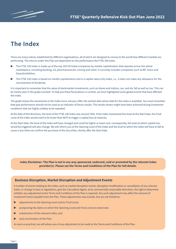### **The Index**

There are many indices established by different organisations, all of which are designed to convey to the world how different markets are performing. The returns under this Plan are dependent on the performance the FTSE 100 Index.

- The FTSE 100 Index is made up of the top 100 UK listed companies by market capitalisation that operate across the whole marketplace, including banking, oil, pharmaceuticals, mining and retail. It currently includes companies such as BP, Tesco and GlaxoSmithKline.
- The FTSE 100 Index is based on market capitalisation and is a capital value only index, i.e., it does not make any allowance for the reinvestment of dividends.

It is important to remember that the value of stockmarket investments, such as shares and indices, can, and do, fall as well as rise. This can be clearly seen in the graph overleaf. To help put these fluctuations in context, we have highlighted some global events that have affected the Index.

The graph shows the movements in the Index since January 1984, the earliest date where data for the Index is available. You must remember that past performance should not be used as an indicator of future results. The results shown might have been achieved during investment conditions that are highly unlikely to be repeated.

At the date of this Brochure, the level of the FTSE 100 Index was around 7500. If the Index maintained this level at the Start Date, the Final Level of the Index would need to be lower than 4875 to trigger a capital loss at maturity.

At the Start Date, the level of the Index will have changed and could be higher or lower and, consequently, the level at which capital loss would be triggered will also change. We will inform you of the Opening Level of the Index and the level to which the Index will have to fall to cause a loss when we confirm the purchase of the Securities, shortly after the Start Date.

**Index Disclaimer: The Plan is not in any way sponsored, endorsed, sold or promoted by the relevant Index provider(s). Please see the Terms and Conditions of the Plan for full details.** 

#### **Business Disruption, Market Disruption and Adjustment Events**

A number of events relating to the Index, such as market disruption events, disruption modification or cancellation of any relevant Index, or change in laws or regulations, give the Calculation Agent, at its commercially reasonable discretion, the right to determine whether any adjustment to the Terms and Conditions of the Plan is required. Any such adjustment may affect the amount of investment return payable from the Plan. These adjustments may include, but are not limited to:

- adjustments to the Opening Level and/or Final Level;
- postponing the dates on which the Opening Level and Final Level are observed;
- substitution of the relevant Index; and
- early termination of the Plan.

As soon as practical, we will advise you of any adjustment to be made to the Terms and Conditions of the Plan.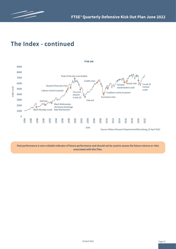



### **The Index - continued**

**Past performance is not a reliable indicator of future performance and should not be used to assess the future returns or risks associated with this Plan.**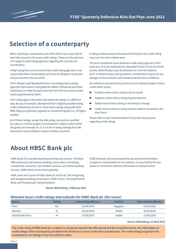

### **Selection of a counterparty**

When selecting a counterparty one of the factors you may wish to take into account is its issuer credit ratings. These are the opinions of a range of credit rating agencies regarding the security of a counterparty.

A high rating from one or more of the credit rating agencies is not a guarantee that a counterparty will meet its obligation to pay the amount due from the securities.

Fitch, Moody's and Standard & Poor's are independent ratings agencies that research and grade the ability of financial and other institutions to make the payments due from the securvities issued and/or guaranteed by them.

Each rating agency describes and names its ratings in a different way. By way of example, Standard & Poor's highest possible rating is AAA, followed by AA and A. These three ratings along with their BBB rating are generally regarded as investment grade (i.e., of higher quality).

All of these ratings, except the AAA rating, can also be modified by a plus or a minus to give a counterparty's relative status within the grade; for example, A+, A, A- for the A rating. Ratings from BB downwards are provided in respect of other securities.

A rating outlook assesses the potential direction of a credit rating view over the intermediate term.

The term considered varies between credit rating agencies; Fitch looks at a 12 to 24 month period, Standard & Poor's a 6 to 24 month period, while Moody's says its outlooks are 'over the medium term'. In determining a rating outlook, consideration is given to any changes in the economic and fundamental business conditions.

An outlook is not necessarily a precursor of a rating change or future credit watch action.

- Positive means that a rating may be raised.
- Negative means that a rating may be lowered.
- Stable means that a rating is not likely to change.
- ▶ Under review means a rating may be raised or lowered in the short term.

Please refer to your financial adviser if you have any queries regarding credit ratings.

### **About HBSC Bank plc**

HSBC Bank PLC provides banking and financial services. The Bank offers personal and business banking, home loans, borrowing, investments, insurance, non-resident services, and online banking services. HSBC Bank serves clients globally.

HSBC owns all or parts of HSBC Bank plc in the UK, The Hong Kong and Shanghai Banking Corporation, HSBC France, The Saudi British Bank, and Hong Kong's Hang Seng Bank.

**Source: Bloomberg, 1 February 2022**

HSBC Bank plc has not prepared this document and therefore accepts no responsibility for its contents, nor any liability for any losses in connection with the information contained herein.

#### **Relevant Issuer credit ratings and outlooks for HSBC Bank plc (the Issuer)**

| Agency            | <b>Rating</b> | Date rating effective | Outlook         | Date outlook effective |
|-------------------|---------------|-----------------------|-----------------|------------------------|
| Fitch             | AA-           | 01/04/2020            | <b>Negative</b> | 01/04/2020             |
| Moody's           | Al            | 20/10/2020            | <b>Stable</b>   | 20/10/2020             |
| Standard & Poor's | $A+$          | 13/05/2020            | <b>Stable</b>   | 13/05/2020             |

**Source: Bloomberg, 12 April 2022** 

**The credit rating of HSBC Bank plc is subject to change during both the offer period and the investment terms. Any information on credit ratings of the Counterparty provided in this Brochure is correct at the time of publication. The credit ratings assigned to the Counterparty can change at any time without notice.**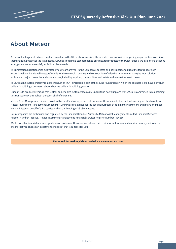### **About Meteor**

As one of the largest structured product providers in the UK, we have consistently provided investors with compelling opportunities to achieve their financial goals over the last decade. As well as offering a standard range of structured products to the wider public, we also offer a bespoke arrangement service to satisfy individual client needs.

The professional relationships cultivated by our team are vital to the Company's success and have positioned us at the forefront of both institutional and individual investors' minds for the research, sourcing and construction of effective investment strategies. Our solutions embrace all major currencies and asset classes, including equities, commodities, real estate and alternative asset classes.

To us, treating customers fairly is more than just an FCA Principle; it is part of the sound foundation on which the business is built. We don't just believe in building a business relationship, we believe in building your trust.

Our aim is to produce literature that is clear and enables customers to easily understand how our plans work. We are committed to maintaining this transparency throughout the term of all of our plans.

Meteor Asset Management Limited (MAM) will act as Plan Manager, and will outsource the administration and safekeeping of client assets to Meteor Investment Management Limited (MIM). MIM was established for the specific purposes of administering Meteor's own plans and those we administer on behalf of third parties and for the keeping of all client assets.

Both companies are authorised and regulated by the Financial Conduct Authority. Meteor Asset Management Limited: Financial Services Register Number - 459325. Meteor Investment Management: Financial Services Register Number - 496880.

We do not offer financial advice or guidance on tax issues. However, we believe that it is important to seek such advice before you invest, to ensure that you choose an investment or deposit that is suitable for you.

**For more information, visit our website www.meteoram.com**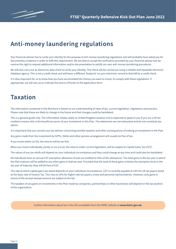### **Anti-money laundering regulations**

Your financial adviser has to verify your identity for the purpose of anti-money laundering regulations and will probably have asked you for documentary evidence in order to fulfil this requirement. We are able to accept the verification provided by your financial adviser but we reserve the right to request additional information and/or documentation to satisfy our own anti-money laundering procedures.

We will also carry out an electronic data check to verify your identity. The check will be carried out using a reliable and reputable electronic database agency. This is not a credit check and will leave a different 'footprint' on your electronic record to that left by a credit check.

It is also important for us to know how you have accumulated the money you want to invest, to comply with these regulations. If appropriate, we will ask you to indicate the source of funds on the application form.

### **Taxation**

The information contained in this Brochure is based on our understanding of rates of tax, current legislation, regulations and practice. Please note that these are likely to change in the future and that changes could be backdated.

This is a general guide only. The information relates solely to United Kingdom taxation and is expected to apply to you if you are a UK tax resident investor who is the beneficial owner of your investment in this Plan. The statements are not exhaustive and do not constitute tax advice.

It is important that you consult your tax adviser concerning possible taxation and other consequences of making an investment in the Plan.

Any gains made from the investment by SIPPs, SSASs and other pension arrangement will usually be free of tax.

If you invest within an ISA, the returns will be tax free.

When you invest individually, jointly or via a trust, the returns under current legislation, will be subject to Capital Gains Tax (CGT).

The values of any tax reliefs will depend on your individual circumstances and they could change at any time and could also be backdated.

All individuals have an annual CGT exemption allowance (trusts are entitled to 50% of this allowance). The total gains in the tax year in which the Plan matures will be added to any other gains in that tax year. Provided that the total of these gains is below the exemption level in the tax year of maturity, they will be free of CGT.

The rate at which capital gains are taxed depends on your individual circumstances. CGT is currently payable at 10% for UK tax payers taxed at the basic rate of Income Tax. This rises to 20% for higher rate tax payers, trusts and personal representatives. However, only gains in excess of the annual exempt amount are subject to the tax.

The taxation of any gains on investments in the Plan made by companies, partnerships or other businesses will depend on the tax position of the organisation.

Further information about tax in the UK is available from the HMRC website at **www.hmrc.gov.uk.**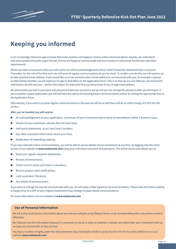### **Keeping you informed**

In an increasingly electronic age we know that most investors are happy to receive online communications. Equally, we understand that some people still prefer paper format, and we are happy to communicate with our investors in whichever format best suits their requirements.

Where you open an account online you will receive an initial acknowledgement and an initial transaction statement from us by post. Thereafter, for the rest of the Plan term we will send all regular communications to you by email. To enable us to do this, we will need an up to date personal email address. If you would like us to use someone else's email address to communicate with you, for example a spouse or other family member, we will need you to sign to that effect on the Application Form. This is so that we are sure that you can receive the information we will send you - and for this reason it's important that you let us know if you change email address.

We will provide you with a username and password when your account is set up and you can change the password after you first log in. If you complete a paper application you will still have the option of receiving future communications online, by ticking the appropriate box on the Application Form.

Alternatively, if you want us to send regular communications in the post we will do so and there will be an initial charge of 0.25% for this service.

#### **After you've invested you will receive:**

- An acknowledgement of your application, a summary of your investment and a notice of cancellation, within 5 Business Days;
- Details of your investment, shortly after the Start Date:
- Half yearly statements, as at 5 April and 5 October;
- Any other important information about your Plan;
- ▶ Notification of impending maturity.

If you have selected online communications, you will be able to access details of your investment at any time, by logging onto the client section of our website at **www.meteoram.com** using your individual username and password. This online access also allows you to:

- Read your regular valuation statements;
- Review all transactions:
- Check current values and historic valuations;
- Receive product alert notifications;
- Look up product literature;
- See details of previous plans.

If you want to change the way we communicate with you, we will need a letter signed by all account holders. Please note that there could be a charge of up to 0.25% of your original investment if you change to paper-based communications.

For more information visit our website at **www.meteoram.com**

#### **Use of Personal Information**

We will collect and process information about you that you will give us by filling in forms, or by corresponding with us by phone, email or otherwise.

We hold and use this information because it is necessary to do so in order to establish, maintain and administer your investment with us, and pay you any benefits as they are due.

You have a number of rights under the data protection laws, full details of which can be found in the Terms and Conditions or on our website **www.meteoram.com**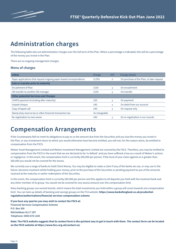### **Administration charges**

The following table sets out administration charges over the full term of the Plan. Where a percentage is indicated, this will be a percentage of the money you invest in the Plan.

There are no ongoing management charges.

#### **Menu of charges**

| <b>Initial</b>                                                     | Charge        | <b>VAT</b> | Charge details                            |
|--------------------------------------------------------------------|---------------|------------|-------------------------------------------|
| Paper applications that request ongoing paper-based correspondence | 0.25%         | n          | On purchase of the Plan, or later request |
| Sale or transfer prior to maturity                                 |               |            |                                           |
| Encashment of Plan                                                 | £150          |            | On encashment                             |
| ISA transfer to another ISA manager                                | £150          |            | On transfer                               |
| <b>Other potential Services and Charges</b>                        |               |            |                                           |
| CHAPS payment (including after maturity)                           | £35           | v          | On payment                                |
| Unpaid cheque                                                      | £40           |            | On debit from our account                 |
| Copy of taped call                                                 | £40           | V          | On request only                           |
| Stamp duty reserve tax or other financial transaction tax          | As chargeable |            |                                           |
| Re-registration to new owner                                       | £40           |            | On re-registration in our records         |
|                                                                    |               |            |                                           |

### **Compensation Arrangements**

If the Counterparty fails to meet its obligations to pay to us the amount due from the Securities and you lose the money you invest in the Plan, or any investment return to which you would otherwise have become entitled, you will not, for this reason alone, be entitled to compensation from the FSCS.

Meteor Asset Management Limited and Meteor Investment Management Limited are covered by the FSCS. Therefore, you may be entitled to compensation from the FSCS in the event that we are declared to be 'in default' and you have suffered a loss as a result of Meteor's actions or negligence. In this event, the compensation limit is currently £85,000 per person. If the level of your claim against us is greater than £85,000 you would not be covered for the excess.

We currently use a range of banks to hold Client Money. You may be eligible to make a claim if any of the banks we use, or may use in the future, becomes insolvent whilst holding your money, prior to the purchase of the Securities or pending payment to you of the amounts received at the maturity or earlier redemption of the Securities.

In this event, the compensation limit is currently £85,000 per person and this applies to all deposits you hold with the insolvent bank and any other member of its group. You would not be covered for any excess amount over the compensation limit.

Many banking groups use several brands, which means the total investments you hold within a group will count towards one compensation limit. You can look up details of banking and savings groups on the FCA website: **https://www.bankofengland.co.uk/prudentialregulation/authorisations/financial-services-compensation-scheme**

**If you have any queries you may wish to contact the FSCS at: Financial Services Compensation Scheme P.O. Box 300 Mitcheldean GL17 1DY**

**Telephone: 0800 678 1100**

**Note: The FSCS website suggests that its contact form is the quickest way to get in touch with them. The contact form can be located on the FSCS website at https://www.fscs.org.uk/contact-us/**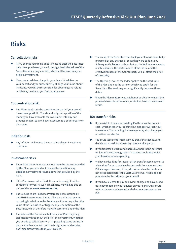### **Risks**

#### **Cancellation risks**

- If you change your mind about investing after the Securities have been purchased, you will only get back the value of the Securities when they are sold, which will be less than your original investment.
- If we pay an adviser charge to your financial adviser on your behalf and you subsequently change your mind about investing, you will be responsible for obtaining any refund which may be due to you from your adviser.

#### **Concentration risk**

The Plan should only be considered as part of your overall investment portfolio. You should only put a portion of the money you have available for investment into any one product or plan, to avoid over exposure to a counterparty or plan type.

#### **Inflation risk**

Any inflation will reduce the real value of your investment over time.

#### **Investment risks**

- Should the Index increase by more than the returns provided by the Plan, you would not receive the benefit of any additional investment return above that provided by the Plan.
- ▶ If the Plan is oversubscribed, the purchase might not be completed for you. As we near capacity we will flag this on our website at **www.meteoram.com**.
- ▶ The Securities are linked to Preference Shares issued by UKSED3P Investments Limited. There is a risk that events occurring in relation to the Preference Shares may affect the value of the Securities, or trigger early redemption of the Securities, which therefore may affect returns under the Plan.
- The value of the Securities that back your Plan may vary significantly throughout the life of the investment. Whether you decide to sell a Security at its prevailing value during its life, or whether you wait until maturity, you could receive back significantly less than you invested.
- $\blacktriangleright$  The value of the Securities that back your Plan will be initially impacted by any charges or costs that were built into it. Subsequently, factors such as, but not limited to, movements in interest rates, the performance of the Index, and the creditworthiness of the Counterparty will all affect the price of a security.
- The Opening Level of the Index applies on the Start Date of the Plan and not the date on which you apply for the Securities. The level may vary significantly between these dates.
- When the Plan matures you might not be able to reinvest the proceeds to achieve the same, or similar, level of investment return.

#### **ISA transfer risks**

- If you wish to transfer an existing ISA this must be done in cash, which means your existing ISA manager will sell your investment. Your existing ISA manager may also charge you an exit or transfer fee.
- You could lose some interest if you transfer a cash ISA and decide not to wait for the expiry of any notice period.
- If you transfer a stocks and shares ISA there is the potential for loss of investment growth if markets should rise while your transfer remains pending.
- We have a deadline for receipt of ISA transfer applications, to allow time for us to receive the proceeds from your existing ISA Manager. However, if they do not send us the funds you have requested before the Start Date we will not be able to purchase the Securities on your behalf.
- If you have elected to pay an adviser charge and have asked us to pay that fee to your adviser on your behalf, this could reduce the amount invested with the tax advantages of an ISA.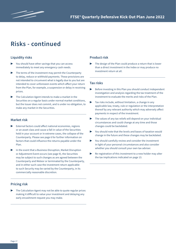

### **Risks - continued**

#### **Liquidity risks**

- You should have other savings that you can access immediately to meet any emergency cash needs.
- The terms of the investment may permit the Counterparty to delay, reduce or withhold payments. These provisions are not intended to circumvent what is legally due to you but are intended to cover unforeseen events which affect your return from the Plan, for example, a suspension or delay in receiving prices.
- The Calculation Agent intends to make a market in the Securities on a regular basis under normal market conditions, but the Issuer does not commit, and is under no obligation, to make any market in the Securities.

#### **Market risk**

- External factors could affect national economies, regions or an asset class and cause a fall in value of the Securities held in your account or in extreme cases, the collapse of the Counterparty. Please see page 6 for further information on factors that could influence the returns payable under the Plan.
- In the event that a Business Disruption, Market Disruption or Adjustment Event occurs (see page 9), the Securities may be subject to such changes as are agreed between the Counterparty and Meteor or terminated by the Counterparty, and in either such case the investment return applicable to such Security may be varied by the Counterparty, in its commercially reasonable discretion.

#### **Pricing risk**

The Calculation Agent may not be able to quote regular prices making it difficult to value your investment and delaying any early encashment request you may make.

#### **Product risk**

The design of the Plan could produce a return that is lower than a direct investment in the Index or may produce no investment return at all.

#### **Tax risks**

- Before investing in this Plan you should conduct independent investigation and analysis regarding the tax treatment of the investment to evaluate the merits and risks of the Plan.
- Tax risks include, without limitation, a change in any applicable law, treaty, rule or regulation or the interpretation thereof by any relevant authority which may adversely affect payments in respect of the investment.
- $\blacktriangleright$  The values of any tax reliefs will depend on your individual circumstances and could change at any time and those changes could be backdated.
- You should note that the levels and bases of taxation would change in the future and these changes may be backdated.
- ▶ You should carefully review and consider the investment in light of your personal circumstances and also consider whether you should consult your own tax adviser.
- Re-registration of this investment to a new holder may alter the tax implications indicated on page 13.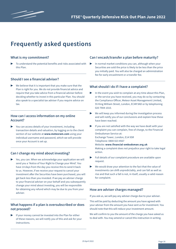

### **Frequently asked questions**

#### **What is my commitment?**

To understand the potential benefits and risks associated with this Plan.

#### **Should I see a financial adviser?**

We believe that it is important that you make sure that the Plan is right for you. We do not provide financial advice and require that you take advice from a financial adviser before deciding whether to invest in this particular Plan. You should also speak to a specialist tax adviser if you require advice on tax.

#### **How can I access information on my online Account?**

You can access details of your investment, including transaction details and valuation, by logging on to the client section of our website at **www.meteoram.com** using your individual username and password, which we will provide once your Account is set up.

#### **Can I change my mind about investing?**

Yes, you can. When we acknowledge your application we will send you a 'Notice of Your Right to Change your Mind'. You have 14 days from the day you receive this to send it back to us. However, if we receive your request to cancel your investment after the Securities have been purchased, you will get back less than you invested. If we pay an adviser charge to your financial adviser on your behalf and you subsequently change your mind about investing, you will be responsible for obtaining any refund which may be due to you from your adviser.

#### **What happens if a plan is oversubscribed or does not proceed?**

If your money cannot be invested into the Plan for either of these reasons, we will notify you of this and ask for your instructions.

#### **Can I encash/transfer a plan before maturity?**

In normal market conditions you can, although when your Securities are sold the price is likely to be less than the price you initially paid. You will also be charged an administration fee for early encashment or a transfer fee.

#### **What should I do if I have a complaint?**

- In the event you wish to complain at any time about this Plan, or the service you have received, you may do so by contacting the Compliance Officer, Meteor Asset Management Limited, 55 King William Street, London, EC4R 9AD or by telephoning 020 7904 1010.
- ▶ We will keep you informed during the investigation process and will notify you of our conclusions and explain how these have been reached.
- If you are not satisfied with the way we have dealt with your complaint you can complain, free of charge, to the Financial Ombudsman Service at: Exchange Tower, London, E14 9SR Telephone: 0800 023 4567 Website: **www.financial-ombudsman.org.uk**

Making a complaint does not prejudice your right to take legal action.

- Full details of our complaint procedure are available upon request.
- We would draw your attention to the fact that the value of investments can shift unpredictably, and can fall as well as rise and that such a fall is not, in itself, usually a valid reason for complaint.

#### **How are adviser charges managed?**

If you ask us, we will pay any adviser charge due to your adviser.

This will be paid by deducting the amount you have agreed with your adviser from the amount you have sent us for investment. You should note that this will reduce your investment amount.

We will confirm to you the amount of the charge you have asked us to deal with. You may amend or cancel this instruction in writing.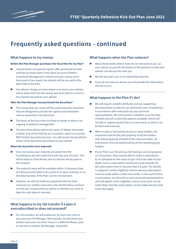

### **Frequently asked questions - continued**

#### **What happens to my money:**

#### **Before the Plan Manager purchases the Securities for my Plan?**

- ▶ Cleared funds received during the offer period will be held until the purchase date in the client account of Meteor Investment Management Limited and your money never forms part of our assets. No interest will be accrued to the Start Date of the Plan.
- Any adviser charge you have asked us to pay to your adviser, will be deducted from the money you have paid to us once it has cleared and paid to your adviser.

#### **After the Plan Manager has purchased the Securities?**

- $\blacktriangleright$  The money that you invest will be used to buy the Securities that are designed to provide the capital and investment returns explained in this Brochure.
- The terms of the Securities are fixed at outset so there is no ongoing investment management.
- The Securities will be held in the name of 'Meteor Nominees Limited' and will be held by our Custodian, which is currently BNP Paribas Securities Services. You will remain the beneficial owner of the Securities purchased on your behalf.

#### **When the Securities have matured?**

- Once we receive your maturity proceeds from the Counterparty we will credit the funds into your Account. This will be held as Client Money and no interest will be paid on this amount.
- The maturity value will be available within 15 Business Days of a Measurement Date in the event of an early maturity, or on the Maturity Date, if the Plan runs for the full term.
- $\blacktriangleright$  However, we will not make any payment until we have received your written instruction and will therefore continue to hold your money until you advise us whether you wish to take the cash value or reinvest.

#### **What happens to my ISA transfer if a plan is oversubscribed or does not proceed?**

For ISA transfers, we will endeavour to return the cash to your previous ISA Manager. Alternatively, we will await your written instruction to either invest in a different Meteor plan or transfer to another ISA Manager, if possible.

#### **What happens when the Plan matures?**

- About three weeks before maturity we will write to you via your adviser to provide full details of the position so that your adviser can discuss this with you.
- We will also alert you to an impending maturity.
- If you do not have an adviser we will provide the information directly to you.

#### **What happens to the Plan if I die?**

- ▶ We will require a death certificate and any supporting documentation so that we can administer your investments, in accordance with instruction by your personal representatives. We will provide a valuation as at the date of death and will outline the options available, which will include re-registering the Plan to a new owner so that it can be held until maturity.
- Where a plan is held jointly by two or more holders, the investment will be the joint property of all the holders and, following proof of death of the relevant holder, all instructions must be authorised by all the remaining joint holders.
- If your Plan is an ISA and you die leaving a surviving spouse or civil partner, they may be able to make a subscription to an ISA based on the value of your ISA at the date of your death. Such a subscription would not count towards the ISA subscription limit in the year that it is paid. The facility is subject to certain eligibility criteria and any subscription must be made within certain time limits. In the event of this circumstance, we will write to your personal representatives with full details of the eligibility criteria, how much can be subscribed, how the subscription can be made and any time limits that apply.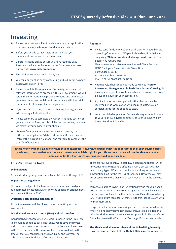

### **Investing**

- Please note that we will not be able to accept an application from you unless you have received financial advice.
- Before you decide to invest it is important that you understand the nature of the investment.
- ▶ Before investing please ensure you have read the Base Prospectus which can be found in the Document Centre on our website **www.meteoram.com**.
- The minimum you can invest is £5,000.
- You can apply online or by completing and submitting a paper based Application Form.
- Please complete the Application Form fully, as we need all relevant information to proceed with your investment. We will retain the information you provide to set up and administer your investment and will do so in accordance with the strict requirements of data protection legislation.
- If you are a SSAS, trust, charity or other legal entity, please add your Legal Entity Identifier.
- Please take care to complete the Adviser Charging section of your application form, as this will be the basis of any payment we make to your adviser on your behalf.
- $\blacktriangleright$  ISA transfer applications must be received by us by the 'ISA transfer application' date to allow us sufficient time to instruct the current ISA Manager and for them to complete the transfer of funds to us.

#### **Payment**

- Please send funds via electronic bank transfer. If your bank is operating Confirmation of Payee, it should confirm that you are paying **'Meteor Investment Management Limited'.** The details you require are: Meteor Investment Management Limited Client Account HSBC Bank plc - Queen Victoria Street Branch Sort Code: 40-05-30 Account Number: 13692752 IBAN: GB21MIDL40053013692752
- ▶ Alternatively, cheques can be made payable to **'Meteor Investment Management Limited Client Account'**. We highly recommend against this option as cheques increase the risk of delays and failures in your application.
- Application forms accompanied with a cheque must be received by the 'Application with cheques' date, to allow sufficient time for the cheque to clear.
- ▶ Your completed Application Form and cheque should be sent to your financial adviser or directly to us at 55 King William Street, London, EC4R 9AD.

**We do not offer financial advice or guidance on tax issues. However, we believe that it is important to seek such advice before you invest, to ensure that you choose an investment which is right for you. Please note that we will not be able to accept an application for this Plan unless you have received financial advice.**

#### **This Plan may be held:**

#### **By individuals**

As an individual, jointly, or on behalf of a child under the age of 18.

#### **By pension arrangements**

The trustees, subject to the terms of your scheme, can hold plans as a permitted investment within any type of pension arrangement, including a SIPP and a SSAS.

#### **By trustees/companies/partnerships**

Subject to relevant articles of association permitting such an investment.

#### **As Individual Savings Accounts (ISAs) and ISA transfers**

Individual Savings Accounts (ISAs) were launched in the UK in 1999 to encourage people to save. They allow you to save and invest without paying any tax on returns you make from your investment in the Plan. Because of the tax advantages there is a limit on the amount that you can subscribe to ISAs in any one tax year. The subscription limit for the 2022/23 tax year is £20,000.

There are four types of ISA - a cash ISA, a stocks and shares ISA, an Innovative Finance ISA and a Lifetime ISA. In a tax year you may invest in any type of ISA, or a combination, as long as the overall subscription limit for the year is not exceeded. However, you may not subscribe to more than one of each type of ISA in the same tax year.

You are also able to invest in an ISA by transferring the value of an existing ISA or ISAs to a new ISA manager. The ISA which receives the transfer does not have to be the same type of ISA as the transferring ISA. The minimum value for ISA transfers to this Plan is £5,000, with no maximum limit.

It is possible for the spouse or civil partner of a person who has died whilst holding an investment in an ISA or ISAs to make additional ISA subscriptions over the annual subscription limit. Please refer to "What happens to the Plan if I die?" on page 19 for further details.

**The Plan is available to residents of the United Kingdom only. If you become a resident of the United States, please inform us.**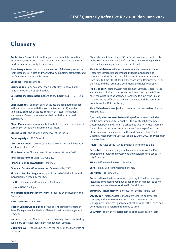### **Glossary**

**Application Form –** the form that you must complete, for a Direct Investment, stocks and shares ISA or an investment by a pension fund, company or charity to be opened.

**Base Prospectus –** the most recent version of the base prospectus for the Issuance of Notes and Warrants, any supplements thereto, and the final terms relating to the Notes.

**Brochure –** this document.

**Business Day –** any day other than a Saturday, Sunday, bank holiday or other UK public holiday.

**Calculation/Determination Agent of the Securities –** HSBC Bank plc.

**Client Account –** all client bank accounts are designated as such in the account name with the words 'client account', in order to distinguish those accounts from any of Meteor Investment Management's own bank accounts held with the same credit institution.

**Client Money –** means money that we hold for you in the course of carrying on designated investment business.

**Closing Level –** the official closing level of the Index.

**Counterparty –** HSBC Bank plc.

**Direct Investment –** an investment in the Plan not qualifying as a stocks and shares ISA.

**Final Level –** the Closing Level of the Index on 10 June 2027.

**Final Measurement Date –** 10 June 2027.

**Financial Conduct Authority –** the FCA.

**Financial Services Compensation Scheme –** the FSCS.

**Financial Services Register –** a public record of all the firms and individuals regulated by the FCA.

**HMRC –** Her Majesty's Revenue and Customs.

**Issuer –** HSBC Bank plc.

**Key Information Document (KID)** – prepared by the Issuer of the Securities.

**Maturity Date –** 1 July 2027.

**Meteor Capital Group Limited –** the parent company of Meteor Asset Management Limited and Meteor Investment Management Limited.

**Nominees –** Meteor Nominees Limited, a totally owned nontrading subsidiary of Meteor Investment Management Limited.

**Opening Level –** the Closing Level of the Index on the Start Date of the Plan.

**Plan –** the stocks and shares ISA or Direct Investment, as described in the Brochure and made up of Securities (investments) and cash that the Plan Manager handles on your behalf.

**Plan Administrator –** Meteor Investment Management Limited. Meteor Investment Management Limited is authorised and regulated by the FCA and must follow the FCA rules as amended from time to time ('the Rules'). If there are any differences between the Rules and the Terms and Conditions, the Rules will apply.

**Plan Manager –** Meteor Asset Management Limited. Meteor Asset Management Limited is authorised and regulated by the FCA and must follow its rules as amended from time to time ("the Rules"). If there are any differences between the Rules and the Terms and Conditions, the Rules will apply.

**Plan Objective –** the objective of securing the return described in this Brochure.

**Quarterly Measurement Dates** – the performance of the Index will be measured quarterly on the 10th day of each September, December, March and June. If a scheduled Quarterly Measurement Date falls on or becomes a non-Business Day, the performance of the Index will be measured on the next Business Day. The first Quarterly Measurement Date will be on 12 June 2023, one year after the start date.

**Rules –** the rules of the FCA as amended from time to time.

**Securities –** the underlying qualifying investments of the Plan, arranged to provide the investment and capital returns set out in this Brochure.

**SIPP –** Self-Invested Personal Pension.

**SSAS –** Small Self-Administered Scheme.

**Start Date –** 10 June 2022.

**Subscription -** the total amount(s) you pay to the Plan Manager, including any amount you have asked the Plan Manager to pay to meet any adviser charges outlined in Condition 8b.

**Summary Risk Indicator - a measure of the risk in the Plan.** 

**we, us, our –** Meteor Asset Management Limited or any other company within the Meteor group to which Meteor Asset Management Limited's rights and obligations under the Terms and Conditions are transferred from time to time.

**you, your –** the Plan holder(s) named on the Application Form.